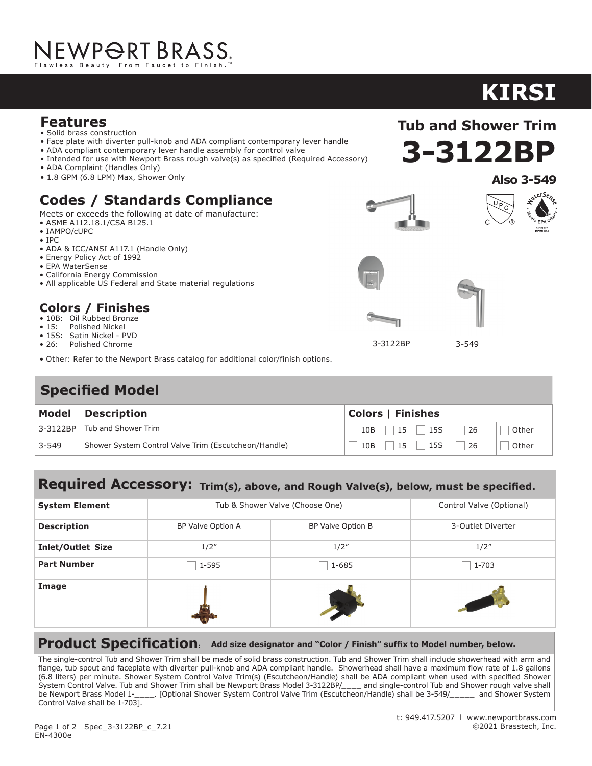### **Features**

- Solid brass construction
- Face plate with diverter pull-knob and ADA compliant contemporary lever handle
- ADA compliant contemporary lever handle assembly for control valve
- Intended for use with Newport Brass rough valve(s) as specified (Required Accessory)
- ADA Complaint (Handles Only)
- 1.8 GPM (6.8 LPM) Max, Shower Only

## **Codes / Standards Compliance**

Meets or exceeds the following at date of manufacture:

- ASME A112.18.1/CSA B125.1
- IAMPO/cUPC
- IPC
- ADA & ICC/ANSI A117.1 (Handle Only)
- Energy Policy Act of 1992
- EPA WaterSense
- California Energy Commission
- All applicable US Federal and State material regulations

#### **Colors / Finishes**

- 10B: Oil Rubbed Bronze
- 15: Polished Nickel
- 15S: Satin Nickel PVD
- 26: Polished Chrome
- Other: Refer to the Newport Brass catalog for additional color/finish options.

## **Specified Model**

| Model     | Description                                          | <b>Colors   Finishes</b>         |  |
|-----------|------------------------------------------------------|----------------------------------|--|
| 3-3122BP  | Tub and Shower Trim                                  | $15$   15S<br>26<br>10B<br>Other |  |
| $3 - 549$ | Shower System Control Valve Trim (Escutcheon/Handle) | 15S<br>15<br>26<br>Other<br>10B  |  |

#### **Required Accessory: Trim(s), above, and Rough Valve(s), below, must be specified.**

| <b>System Element</b>    | Tub & Shower Valve (Choose One) |                   | Control Valve (Optional) |
|--------------------------|---------------------------------|-------------------|--------------------------|
| <b>Description</b>       | BP Valve Option A               | BP Valve Option B | 3-Outlet Diverter        |
| <b>Inlet/Outlet Size</b> | 1/2''                           | 1/2''             | 1/2''                    |
| <b>Part Number</b>       | 1-595                           | $1 - 685$         | 1-703                    |
| Image                    |                                 |                   |                          |

**Product Specification: Add size designator and "Color / Finish" suffix to Model number, below.**

The single-control Tub and Shower Trim shall be made of solid brass construction. Tub and Shower Trim shall include showerhead with arm and flange, tub spout and faceplate with diverter pull-knob and ADA compliant handle. Showerhead shall have a maximum flow rate of 1.8 gallons (6.8 liters) per minute. Shower System Control Valve Trim(s) (Escutcheon/Handle) shall be ADA compliant when used with specified Shower System Control Valve. Tub and Shower Trim shall be Newport Brass Model 3-3122BP/\_\_\_\_ and single-control Tub and Shower rough valve shall<br>be Newport Brass Model 1-\_\_\_\_. [Optional Shower System Control Valve Trim (Escutcheon 1. [Optional Shower System Control Valve Trim (Escutcheon/Handle) shall be 3-549/\_\_\_\_\_ and Shower System Control Valve shall be 1-703].

# **KIRSI**



**Tub and Shower Trim**







3-3122BP

3-549